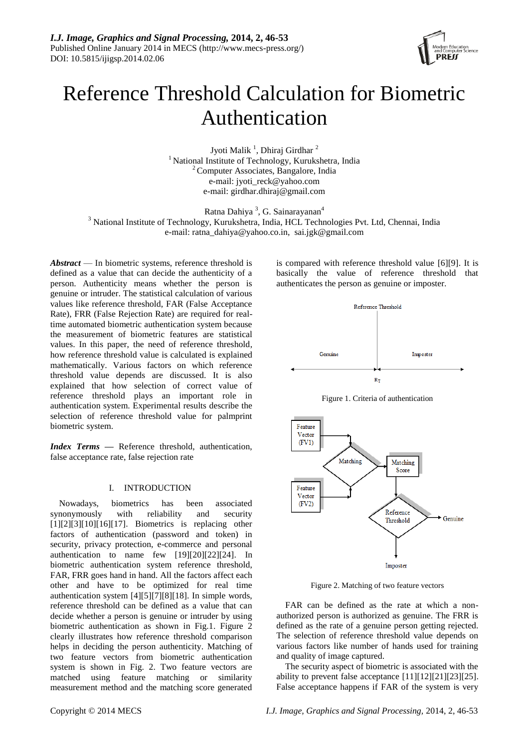

# Reference Threshold Calculation for Biometric Authentication

Jyoti Malik<sup>1</sup>, Dhiraj Girdhar<sup>2</sup> <sup>1</sup> National Institute of Technology, Kurukshetra, India <sup>2</sup> Computer Associates, Bangalore, India e-mail: [jyoti\\_reck@yahoo.com](mailto:jyoti_reck@yahoo.com) e-mail: girdhar.dhiraj@gmail.com

Ratna Dahiya<sup>3</sup>, G. Sainarayanan<sup>4</sup>

<sup>3</sup> National Institute of Technology, Kurukshetra, India, HCL Technologies Pvt. Ltd, Chennai, India e-mail: ratna\_dahiya@yahoo.co.in, sai.jgk@gmail.com

*Abstract* — In biometric systems, reference threshold is defined as a value that can decide the authenticity of a person. Authenticity means whether the person is genuine or intruder. The statistical calculation of various values like reference threshold, FAR (False Acceptance Rate), FRR (False Rejection Rate) are required for realtime automated biometric authentication system because the measurement of biometric features are statistical values. In this paper, the need of reference threshold, how reference threshold value is calculated is explained mathematically. Various factors on which reference threshold value depends are discussed. It is also explained that how selection of correct value of reference threshold plays an important role in authentication system. Experimental results describe the selection of reference threshold value for palmprint biometric system.

*Index Terms —* Reference threshold, authentication, false acceptance rate, false rejection rate

# I. INTRODUCTION

Nowadays, biometrics has been associated synonymously with reliability and security  $[1][2][3][10][16][17]$ . Biometrics is replacing other factors of authentication (password and token) in security, privacy protection, e-commerce and personal authentication to name few [19][20][22][24]. In biometric authentication system reference threshold, FAR, FRR goes hand in hand. All the factors affect each other and have to be optimized for real time authentication system [4][5][7][8][18]. In simple words, reference threshold can be defined as a value that can decide whether a person is genuine or intruder by using biometric authentication as shown in Fig.1. Figure 2 clearly illustrates how reference threshold comparison helps in deciding the person authenticity. Matching of two feature vectors from biometric authentication system is shown in Fig. 2. Two feature vectors are matched using feature matching or similarity measurement method and the matching score generated is compared with reference threshold value [6][9]. It is basically the value of reference threshold that authenticates the person as genuine or imposter.



Figure 1. Criteria of authentication



Figure 2. Matching of two feature vectors

FAR can be defined as the rate at which a nonauthorized person is authorized as genuine. The FRR is defined as the rate of a genuine person getting rejected. The selection of reference threshold value depends on various factors like number of hands used for training and quality of image captured.

The security aspect of biometric is associated with the ability to prevent false acceptance  $[11][12][21][23][25]$ . False acceptance happens if FAR of the system is very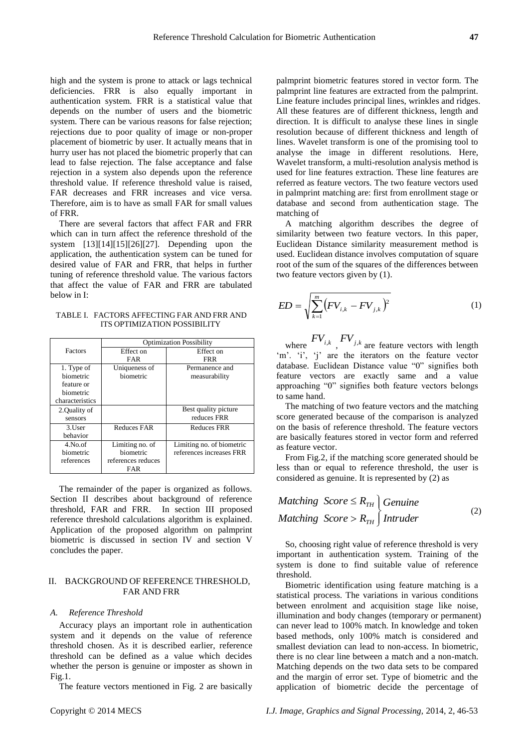high and the system is prone to attack or lags technical deficiencies. FRR is also equally important in authentication system. FRR is a statistical value that depends on the number of users and the biometric system. There can be various reasons for false rejection; rejections due to poor quality of image or non-proper placement of biometric by user. It actually means that in hurry user has not placed the biometric properly that can lead to false rejection. The false acceptance and false rejection in a system also depends upon the reference threshold value. If reference threshold value is raised, FAR decreases and FRR increases and vice versa. Therefore, aim is to have as small FAR for small values of FRR.

There are several factors that affect FAR and FRR which can in turn affect the reference threshold of the system [13][14][15][26][27]. Depending upon the application, the authentication system can be tuned for desired value of FAR and FRR, that helps in further tuning of reference threshold value. The various factors that affect the value of FAR and FRR are tabulated below in I:

TABLE I. FACTORS AFFECTING FAR AND FRR AND ITS OPTIMIZATION POSSIBILITY

|                 | <b>Optimization Possibility</b> |                           |  |
|-----------------|---------------------------------|---------------------------|--|
| Factors         | Effect on                       | Effect on                 |  |
|                 | FAR                             | <b>FRR</b>                |  |
| 1. Type of      | Uniqueness of                   | Permanence and            |  |
| biometric       | biometric                       | measurability             |  |
| feature or      |                                 |                           |  |
| biometric       |                                 |                           |  |
| characteristics |                                 |                           |  |
| 2.Quality of    |                                 | Best quality picture      |  |
| sensors         |                                 | reduces FRR               |  |
| 3.User          | <b>Reduces FAR</b>              | <b>Reduces FRR</b>        |  |
| behavior        |                                 |                           |  |
| $4$ . No. of    | Limiting no. of                 | Limiting no. of biometric |  |
| biometric       | biometric                       | references increases FRR  |  |
| references      | references reduces              |                           |  |
|                 | FAR                             |                           |  |

The remainder of the paper is organized as follows. Section II describes about background of reference threshold, FAR and FRR. In section III proposed reference threshold calculations algorithm is explained. Application of the proposed algorithm on palmprint biometric is discussed in section IV and section V concludes the paper.

# II. BACKGROUND OF REFERENCE THRESHOLD, FAR AND FRR

#### *A. Reference Threshold*

Accuracy plays an important role in authentication system and it depends on the value of reference threshold chosen. As it is described earlier, reference threshold can be defined as a value which decides whether the person is genuine or imposter as shown in Fig.1.

The feature vectors mentioned in Fig. 2 are basically

palmprint biometric features stored in vector form. The palmprint line features are extracted from the palmprint. Line feature includes principal lines, wrinkles and ridges. All these features are of different thickness, length and direction. It is difficult to analyse these lines in single resolution because of different thickness and length of lines. Wavelet transform is one of the promising tool to analyse the image in different resolutions. Here, Wavelet transform, a multi-resolution analysis method is used for line features extraction. These line features are referred as feature vectors. The two feature vectors used in palmprint matching are: first from enrollment stage or database and second from authentication stage. The matching of

A matching algorithm describes the degree of similarity between two feature vectors. In this paper, Euclidean Distance similarity measurement method is used. Euclidean distance involves computation of square root of the sum of the squares of the differences between two feature vectors given by (1).

$$
ED = \sqrt{\sum_{k=1}^{m} (FV_{i,k} - FV_{j,k})^2}
$$
 (1)

where  $FV_{i,k}$ ,  $FV_{j,k}$  are feature vectors with length 'm'. 'i', 'j' are the iterators on the feature vector database. Euclidean Distance value "0" signifies both feature vectors are exactly same and a value approaching "0" signifies both feature vectors belongs to same hand.

The matching of two feature vectors and the matching score generated because of the comparison is analyzed on the basis of reference threshold. The feature vectors are basically features stored in vector form and referred as feature vector.

From Fig.2, if the matching score generated should be less than or equal to reference threshold, the user is considered as genuine. It is represented by (2) as

*Matching Score* 
$$
\leq R_{TH}
$$
 *Genuine*  
*Matching Score* >  $R_{TH}$  *Intruder* (2)

So, choosing right value of reference threshold is very important in authentication system. Training of the system is done to find suitable value of reference threshold.

Biometric identification using feature matching is a statistical process. The variations in various conditions between enrolment and acquisition stage like noise, illumination and body changes (temporary or permanent) can never lead to 100% match. In knowledge and token based methods, only 100% match is considered and smallest deviation can lead to non-access. In biometric, there is no clear line between a match and a non-match. Matching depends on the two data sets to be compared and the margin of error set. Type of biometric and the application of biometric decide the percentage of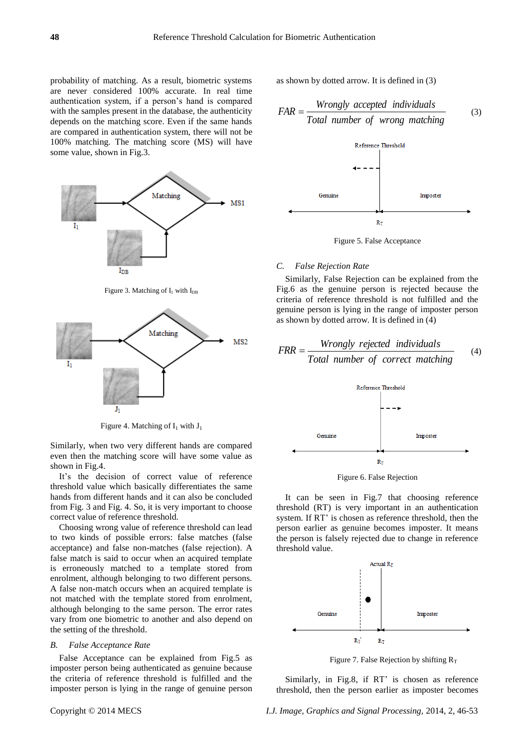probability of matching. As a result, biometric systems are never considered 100% accurate. In real time authentication system, if a person's hand is compared with the samples present in the database, the authenticity depends on the matching score. Even if the same hands are compared in authentication system, there will not be 100% matching. The matching score (MS) will have some value, shown in Fig.3.



Figure 4. Matching of  $I_1$  with  $J_1$ 

Similarly, when two very different hands are compared even then the matching score will have some value as shown in Fig.4.

It's the decision of correct value of reference threshold value which basically differentiates the same hands from different hands and it can also be concluded from Fig. 3 and Fig. 4. So, it is very important to choose correct value of reference threshold.

Choosing wrong value of reference threshold can lead to two kinds of possible errors: false matches (false acceptance) and false non-matches (false rejection). A false match is said to occur when an acquired template is erroneously matched to a template stored from enrolment, although belonging to two different persons. A false non-match occurs when an acquired template is not matched with the template stored from enrolment, although belonging to the same person. The error rates vary from one biometric to another and also depend on the setting of the threshold.

### *B. False Acceptance Rate*

False Acceptance can be explained from Fig.5 as imposter person being authenticated as genuine because the criteria of reference threshold is fulfilled and the imposter person is lying in the range of genuine person as shown by dotted arrow. It is defined in (3)

$$
FAR = \frac{Wrongly\ accepted\ individuals}{Total\ number\ of\ wrong\ matching} \tag{3}
$$





#### *C. False Rejection Rate*

Similarly, False Rejection can be explained from the Fig.6 as the genuine person is rejected because the criteria of reference threshold is not fulfilled and the genuine person is lying in the range of imposter person as shown by dotted arrow. It is defined in (4)

$$
FRR = \frac{Wrongly rejected individuals}{Total number of correct matching}
$$
 (4)



Figure 6. False Rejection

It can be seen in Fig.7 that choosing reference threshold (RT) is very important in an authentication system. If RT' is chosen as reference threshold, then the person earlier as genuine becomes imposter. It means the person is falsely rejected due to change in reference threshold value.



Figure 7. False Rejection by shifting  $R_T$ 

Similarly, in Fig.8, if RT' is chosen as reference threshold, then the person earlier as imposter becomes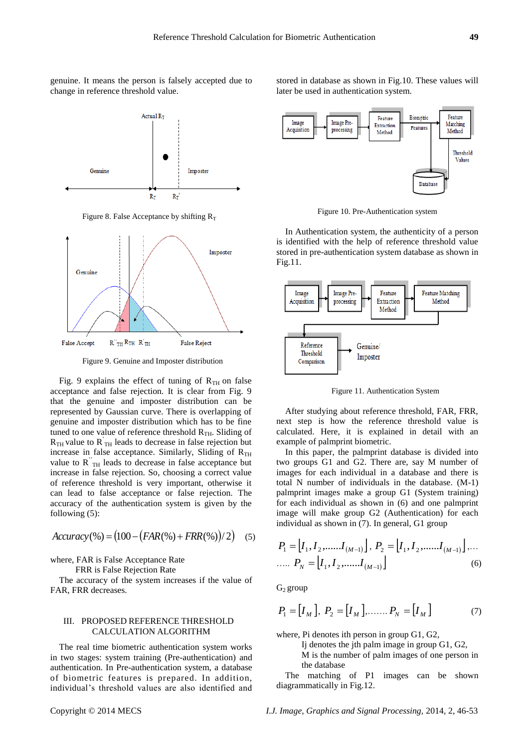genuine. It means the person is falsely accepted due to change in reference threshold value.



Figure 8. False Acceptance by shifting  $R_T$ 



Figure 9. Genuine and Imposter distribution

Fig. 9 explains the effect of tuning of  $R<sub>TH</sub>$  on false acceptance and false rejection. It is clear from Fig. 9 that the genuine and imposter distribution can be represented by Gaussian curve. There is overlapping of genuine and imposter distribution which has to be fine tuned to one value of reference threshold  $R<sub>TH</sub>$ . Sliding of  $R_{TH}$  value to  $R_{TH}$  leads to decrease in false rejection but increase in false acceptance. Similarly, Sliding of  $R_{TH}$ value to  $\overrightarrow{R}_{TH}$  leads to decrease in false acceptance but increase in false rejection. So, choosing a correct value of reference threshold is very important, otherwise it can lead to false acceptance or false rejection. The accuracy of the authentication system is given by the following (5):

$$
Accuracy(\%) = (100 - (FAR(\%) + FRR(\%))/2) \quad (5)
$$

where, FAR is False Acceptance Rate

FRR is False Rejection Rate

The accuracy of the system increases if the value of FAR, FRR decreases.

# III. PROPOSED REFERENCE THRESHOLD CALCULATION ALGORITHM

The real time biometric authentication system works in two stages: system training (Pre-authentication) and authentication. In Pre-authentication system, a database of biometric features is prepared. In addition, individual's threshold values are also identified and stored in database as shown in Fig.10. These values will later be used in authentication system.



Figure 10. Pre-Authentication system

In Authentication system, the authenticity of a person is identified with the help of reference threshold value stored in pre-authentication system database as shown in Fig.11.



Figure 11. Authentication System

After studying about reference threshold, FAR, FRR, next step is how the reference threshold value is calculated. Here, it is explained in detail with an example of palmprint biometric.

In this paper, the palmprint database is divided into two groups G1 and G2. There are, say M number of images for each individual in a database and there is total N number of individuals in the database. (M-1) palmprint images make a group G1 (System training) for each individual as shown in (6) and one palmprint image will make group G2 (Authentication) for each individual as shown in (7). In general, G1 group

$$
P_1 = [I_1, I_2, \dots, I_{(M-1)}], P_2 = [I_1, I_2, \dots, I_{(M-1)}], \dots
$$
  
 
$$
\dots P_N = [I_1, I_2, \dots, I_{(M-1)}]
$$
 (6)

 $G_2$  group

$$
P_1 = [I_M], P_2 = [I_M], \dots, P_N = [I_M]
$$
 (7)

where, Pi denotes ith person in group G1, G2,

Ij denotes the jth palm image in group G1, G2,

M is the number of palm images of one person in the database

The matching of P1 images can be shown diagrammatically in Fig.12.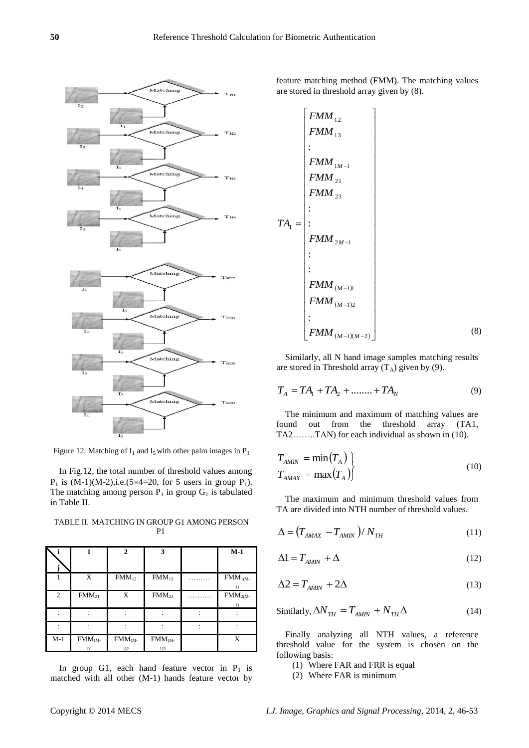

Figure 12. Matching of  $I_1$  and  $I_5$  with other palm images in  $P_1$ 

In Fig.12, the total number of threshold values among  $P_1$  is  $(M-1)(M-2)$ , i.e.  $(5 \times 4=20)$ , for 5 users in group  $P_1$ ). The matching among person  $P_1$  in group  $G_1$  is tabulated in Table II.

| ↖              |                     | $\mathbf{2}$        | 3                     | $M-1$                                     |
|----------------|---------------------|---------------------|-----------------------|-------------------------------------------|
|                | X                   | FMM <sub>12</sub>   | FMM <sub>13</sub>     | FMM <sub>1(M</sub>                        |
| $\overline{c}$ | FMM <sub>21</sub>   | X                   | $\overline{F}MM_{23}$ | $\overline{1}$<br>$\overline{FMM}_{2(M)}$ |
|                |                     |                     |                       | 1)                                        |
|                |                     |                     |                       |                                           |
| $M-1$          | $FMM_{(M-)}$<br>1)1 | $FMM_{(M-)}$<br>1)2 | $FMM_{(M-)}$<br>1)3   | X                                         |

TABLE II. MATCHING IN GROUP G1 AMONG PERSON P1

In group G1, each hand feature vector in  $P_1$  is matched with all other (M-1) hands feature vector by feature matching method (FMM). The matching values are stored in threshold array given by (8).

$$
FMM_{12}
$$
\n
$$
FMM_{13}
$$
\n
$$
FMM_{13}
$$
\n
$$
FMM_{1M-1}
$$
\n
$$
FMM_{21}
$$
\n
$$
FMM_{23}
$$
\n
$$
TA_{1} = \begin{bmatrix} \vdots & & & \\ \vdots & & & \\ \vdots & & & \\ \vdots & & & \\ \vdots & & & \\ \vdots & & & \\ \vdots & & & \\ \vdots & & & \\ \vdots & & & \\ \vdots & & & \\ \vdots & & & \\ \vdots & & & \\ \vdots & & & \\ \vdots & & & \\ \vdots & & & \\ \vdots & & & \\ \vdots & & & \\ \vdots & & & \\ \vdots & & & \\ \vdots & & & \\ \vdots & & & \\ \vdots & & & \\ \vdots & & & \\ \vdots & & & \\ \vdots & & & \\ \vdots & & & \\ \vdots & & & \\ \vdots & & & \\ \vdots & & & \\ \vdots & & & \\ \vdots & & & \\ \vdots & & & \\ \vdots & & & \\ \vdots & & & \\ \vdots & & & \\ \vdots & & & \\ \vdots & & & \\ \vdots & & & \\ \vdots & & & \\ \vdots & & & \\ \vdots & & & \\ \vdots & & & \\ \vdots & & & \\ \vdots & & & \\ \vdots & & & \\ \vdots & & & \\ \vdots & & & \\ \vdots & & & \\ \vdots & & & \\ \vdots & & & \\ \vdots & & & \\ \vdots & & & \\ \vdots & & & \\ \vdots & & & \\ \vdots & & & \\ \vdots & & & \\ \vdots & & & \\ \vdots & & & \\ \vdots & & & \\ \vdots & & & \\ \vdots & & & \\ \vdots & & & \\ \vdots & & & \\ \vdots & & & \\ \vdots & & & \\ \vdots & & & \\ \vdots & & & \\ \vdots & & & \\ \vdots & & & \\ \vdots & & & \\ \vdots & & & \\ \vdots & & & \\ \vdots & & & \\ \vdots & & & \\ \vdots & & & \\ \vdots & & & \\ \vdots & & & \\ \vdots & & & \\ \vdots & & & \\ \vdots & & & \\ \vdots & & & \\ \vdots & & & \\ \vdots & & & \\ \vdots & & & \\ \vdots & & & \\ \vdots & & & \\ \vdots & & & \\ \vdots & & & & \\ \vdots & & & & \\ \vdots & & & & \\ \vdots & & & & \\ \vdots & & & & \\ \vdots & & &
$$

Similarly, all N hand image samples matching results are stored in Threshold array  $(T_A)$  given by (9).

$$
T_A = TA_1 + TA_2 + \dots + TA_N \tag{9}
$$

The minimum and maximum of matching values are found out from the threshold array (TA1, TA2……..TAN) for each individual as shown in (10).

$$
T_{AMIN} = \min(T_A)
$$
  
\n
$$
T_{AMAX} = \max(T_A)
$$
 (10)

The maximum and minimum threshold values from TA are divided into NTH number of threshold values.

$$
\Delta = \left( T_{AMAX} - T_{AMN} \right) / N_{TH} \tag{11}
$$

$$
\Delta 1 = T_{AMIN} + \Delta \tag{12}
$$

$$
\Delta 2 = T_{AMIN} + 2\Delta \tag{13}
$$

Similarly, 
$$
\Delta N_{TH} = T_{AMIN} + N_{TH} \Delta
$$
 (14)

Finally analyzing all NTH values, a reference threshold value for the system is chosen on the following basis:

- (1) Where FAR and FRR is equal
- (2) Where FAR is minimum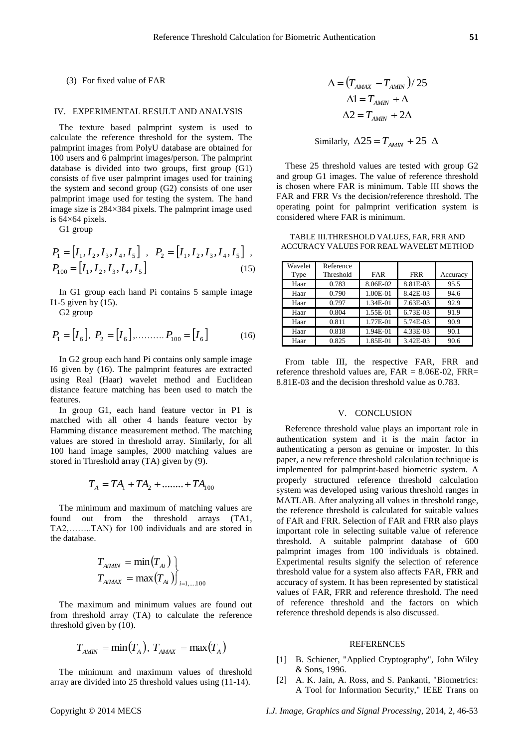# (3) For fixed value of FAR

### IV. EXPERIMENTAL RESULT AND ANALYSIS

The texture based palmprint system is used to calculate the reference threshold for the system. The palmprint images from PolyU database are obtained for 100 users and 6 palmprint images/person. The palmprint database is divided into two groups, first group (G1) consists of five user palmprint images used for training the system and second group (G2) consists of one user palmprint image used for testing the system. The hand image size is 284×384 pixels. The palmprint image used is 64×64 pixels.

G1 group

$$
P_1 = [I_1, I_2, I_3, I_4, I_5], P_2 = [I_1, I_2, I_3, I_4, I_5],
$$
  

$$
P_{100} = [I_1, I_2, I_3, I_4, I_5]
$$
 (15)

In G1 group each hand Pi contains 5 sample image I1-5 given by (15).

G2 group

$$
P_1 = [I_6], P_2 = [I_6], \dots, P_{100} = [I_6]
$$
 (16)

In G2 group each hand Pi contains only sample image I6 given by (16). The palmprint features are extracted using Real (Haar) wavelet method and Euclidean distance feature matching has been used to match the features.

In group G1, each hand feature vector in P1 is matched with all other 4 hands feature vector by Hamming distance measurement method. The matching values are stored in threshold array. Similarly, for all 100 hand image samples, 2000 matching values are stored in Threshold array (TA) given by (9).

$$
T_A = TA_1 + TA_2 + \dots + TA_{100}
$$

The minimum and maximum of matching values are found out from the threshold arrays (TA1, TA2,……..TAN) for 100 individuals and are stored in the database.

$$
T_{A i M I N} = \min(T_{Ai})
$$
  

$$
T_{A i M A X} = \max(T_{Ai})
$$

$$
T_{A i M A X} = \max(T_{Ai})
$$

The maximum and minimum values are found out from threshold array (TA) to calculate the reference threshold given by (10).

$$
T_{AMIN} = \min(T_A), T_{AMAX} = \max(T_A)
$$

The minimum and maximum values of threshold array are divided into 25 threshold values using (11-14).

$$
\Delta = (T_{AMAX} - T_{AMIN})/25
$$

$$
\Delta 1 = T_{AMIN} + \Delta
$$

$$
\Delta 2 = T_{AMIN} + 2\Delta
$$

Similarly,  $\Delta 25 = T_{AMIN} + 25 \Delta$ 

These 25 threshold values are tested with group G2 and group G1 images. The value of reference threshold is chosen where FAR is minimum. Table III shows the FAR and FRR Vs the decision/reference threshold. The operating point for palmprint verification system is considered where FAR is minimum.

TABLE III.THRESHOLD VALUES, FAR, FRR AND ACCURACY VALUES FOR REAL WAVELET METHOD

| Wavelet<br>Type | Reference<br>Threshold | <b>FAR</b> | <b>FRR</b> | Accuracy |
|-----------------|------------------------|------------|------------|----------|
| Haar            | 0.783                  | 8.06E-02   | 8.81E-03   | 95.5     |
| Haar            | 0.790                  | 1.00E-01   | 8.42E-03   | 94.6     |
| Haar            | 0.797                  | 1.34E-01   | 7.63E-03   | 92.9     |
| Haar            | 0.804                  | 1.55E-01   | 6.73E-03   | 91.9     |
| Haar            | 0.811                  | 1.77E-01   | 5.74E-03   | 90.9     |
| Haar            | 0.818                  | 1.94E-01   | 4.33E-03   | 90.1     |
| Haar            | 0.825                  | 1.85E-01   | 3.42E-03   | 90.6     |

From table III, the respective FAR, FRR and reference threshold values are,  $FAR = 8.06E-02$ ,  $FRR =$ 8.81E-03 and the decision threshold value as 0.783.

## V. CONCLUSION

Reference threshold value plays an important role in authentication system and it is the main factor in authenticating a person as genuine or imposter. In this paper, a new reference threshold calculation technique is implemented for palmprint-based biometric system. A properly structured reference threshold calculation system was developed using various threshold ranges in MATLAB. After analyzing all values in threshold range, the reference threshold is calculated for suitable values of FAR and FRR. Selection of FAR and FRR also plays important role in selecting suitable value of reference threshold. A suitable palmprint database of 600 palmprint images from 100 individuals is obtained. Experimental results signify the selection of reference threshold value for a system also affects FAR, FRR and accuracy of system. It has been represented by statistical values of FAR, FRR and reference threshold. The need of reference threshold and the factors on which reference threshold depends is also discussed.

#### REFERENCES

- [1] B. Schiener, "Applied Cryptography", John Wiley & Sons, 1996.
- [2] A. K. Jain, A. Ross, and S. Pankanti, "Biometrics: A Tool for Information Security," IEEE Trans on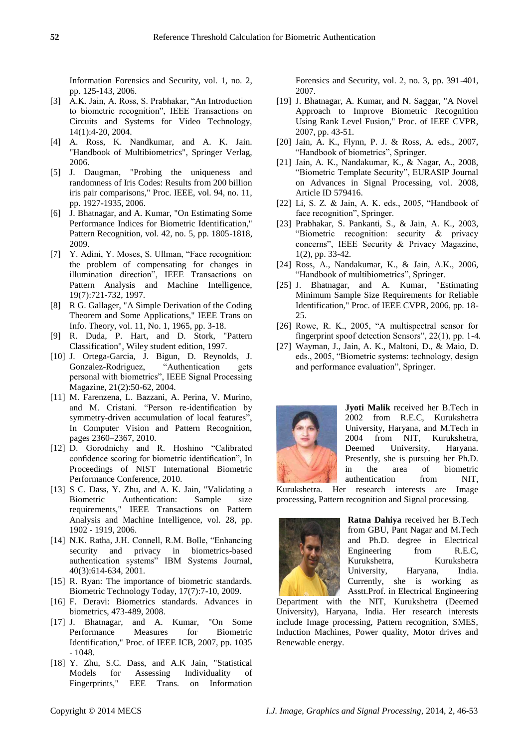Information Forensics and Security, vol. 1, no. 2, pp. 125-143, 2006.

- [3] A.K. Jain, A. Ross, S. Prabhakar, "An Introduction to biometric recognition", IEEE Transactions on Circuits and Systems for Video Technology, 14(1):4-20, 2004.
- [4] A. Ross, K. Nandkumar, and A. K. Jain. "Handbook of Multibiometrics", Springer Verlag, 2006.
- [5] J. Daugman, "Probing the uniqueness and randomness of Iris Codes: Results from 200 billion iris pair comparisons," Proc. IEEE, vol. 94, no. 11, pp. 1927-1935, 2006.
- [6] J. Bhatnagar, and A. Kumar, "On Estimating Some Performance Indices for Biometric Identification," Pattern Recognition, vol. 42, no. 5, pp. 1805-1818, 2009.
- [7] Y. Adini, Y. Moses, S. Ullman, "Face recognition: the problem of compensating for changes in illumination direction", IEEE Transactions on Pattern Analysis and Machine Intelligence, 19(7):721-732, 1997.
- [8] R G. Gallager, "A Simple Derivation of the Coding Theorem and Some Applications," IEEE Trans on Info. Theory, vol. 11, No. 1, 1965, pp. 3-18.
- [9] R. Duda, P. Hart, and D. Stork, "Pattern Classification", Wiley student edition, 1997.
- [10] J. Ortega-Garcia, J. Bigun, D. Reynolds, J. Gonzalez-Rodriguez, "Authentication gets personal with biometrics", IEEE Signal Processing Magazine, 21(2):50-62, 2004.
- [11] M. Farenzena, L. Bazzani, A. Perina, V. Murino, and M. Cristani. "Person re-identification by symmetry-driven accumulation of local features", In Computer Vision and Pattern Recognition, pages 2360–2367, 2010.
- [12] D. Gorodnichy and R. Hoshino "Calibrated" confidence scoring for biometric identification". In Proceedings of NIST International Biometric Performance Conference, 2010.
- [13] S C. Dass, Y. Zhu, and A. K. Jain, "Validating a Biometric Authentication: Sample size requirements," IEEE Transactions on Pattern Analysis and Machine Intelligence, vol. 28, pp. 1902 - 1919, 2006.
- [14] N.K. Ratha, J.H. Connell, R.M. Bolle, "Enhancing security and privacy in biometrics-based authentication systems" IBM Systems Journal, 40(3):614-634, 2001.
- [15] R. Ryan: The importance of biometric standards. Biometric Technology Today, 17(7):7-10, 2009.
- [16] F. Deravi: Biometrics standards. Advances in biometrics, 473-489, 2008.
- [17] J. Bhatnagar, and A. Kumar, "On Some Performance Measures for Biometric Identification," Proc. of IEEE ICB, 2007, pp. 1035 - 1048.
- [18] Y. Zhu, S.C. Dass, and A.K Jain, "Statistical Models for Assessing Individuality of Fingerprints," EEE Trans. on Information

Forensics and Security, vol. 2, no. 3, pp. 391-401, 2007.

- [19] J. Bhatnagar, A. Kumar, and N. Saggar, "A Novel Approach to Improve Biometric Recognition Using Rank Level Fusion," Proc. of IEEE CVPR, 2007, pp. 43-51.
- [20] Jain, A. K., Flynn, P. J. & Ross, A. eds., 2007, "Handbook of biometrics", Springer.
- [21] Jain, A. K., Nandakumar, K., & Nagar, A., 2008, "Biometric Template Security", EURASIP Journal on Advances in Signal Processing, vol. 2008, Article ID 579416.
- [22] Li, S. Z. & Jain, A. K. eds., 2005, "Handbook of face recognition", Springer.
- [23] Prabhakar, S. Pankanti, S., & Jain, A. K., 2003, "Biometric recognition: security  $\&$  privacy concerns", IEEE Security & Privacy Magazine, 1(2), pp. 33-42.
- [24] Ross, A., Nandakumar, K., & Jain, A.K., 2006, "Handbook of multibiometrics", Springer.
- [25] J. Bhatnagar, and A. Kumar, "Estimating Minimum Sample Size Requirements for Reliable Identification," Proc. of IEEE CVPR, 2006, pp. 18- 25.
- $[26]$  Rowe, R. K., 2005, "A multispectral sensor for fingerprint spoof detection Sensors",  $22(1)$ , pp. 1-4.
- [27] Wayman, J., Jain, A. K., Maltoni, D., & Maio, D. eds., 2005, "Biometric systems: technology, design and performance evaluation", Springer.



**Jyoti Malik** received her B.Tech in 2002 from R.E.C, Kurukshetra University, Haryana, and M.Tech in 2004 from NIT, Kurukshetra, Deemed University, Haryana. Presently, she is pursuing her Ph.D. in the area of biometric authentication from NIT,

Kurukshetra. Her research interests are Image processing, Pattern recognition and Signal processing.



**Ratna Dahiya** received her B.Tech from GBU, Pant Nagar and M.Tech and Ph.D. degree in Electrical Engineering from R.E.C, Kurukshetra, Kurukshetra University, Haryana, India. Currently, she is working as Asstt.Prof. in Electrical Engineering

Department with the NIT, Kurukshetra (Deemed University), Haryana, India. Her research interests include Image processing, Pattern recognition, SMES, Induction Machines, Power quality, Motor drives and Renewable energy.